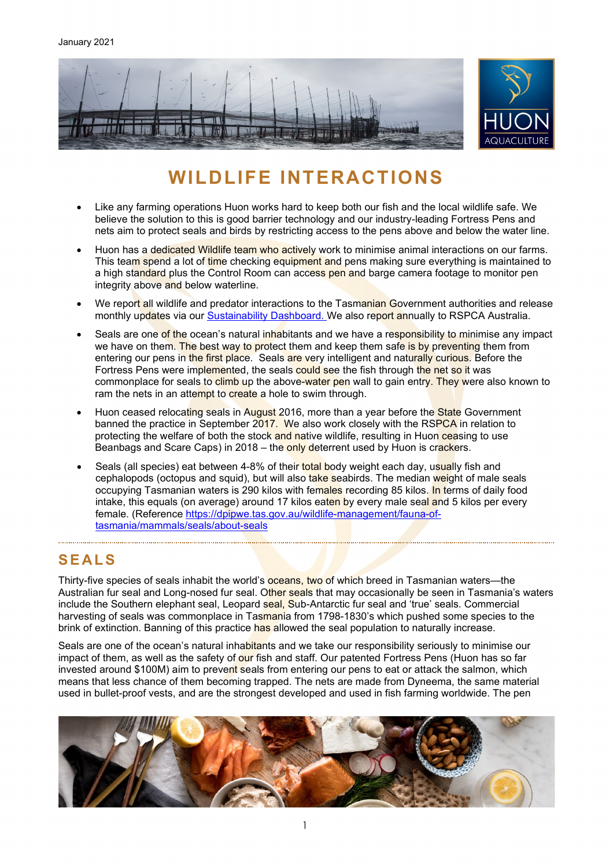

# **WILDLIFE INTERACTIONS**

- Like any farming operations Huon works hard to keep both our fish and the local wildlife safe. We believe the solution to this is good barrier technology and our industry-leading Fortress Pens and nets aim to protect seals and birds by restricting access to the pens above and below the water line.
- Huon has a dedicated Wildlife team who actively work to minimise animal interactions on our farms. This team spend a lot of time checking equipment and pens making sure everything is maintained to a high standard plus the Control Room can access pen and barge camera footage to monitor pen integrity above and below waterline.
- We report all wildlife and predator interactions to the Tasmanian Government authorities and release monthly updates via our [Sustainability Dashboard.](https://dashboard.huonaqua.com.au/) We also report annually to RSPCA Australia.
- Seals are one of the ocean's natural inhabitants and we have a responsibility to minimise any impact we have on them. The best way to protect them and keep them safe is by preventing them from entering our pens in the first place. Seals are very intelligent and naturally curious. Before the Fortress Pens were implemented, the seals could see the fish through the net so it was commonplace for seals to climb up the above-water pen wall to gain entry. They were also known to ram the nets in an attempt to create a hole to swim through.
- Huon ceased relocating seals in August 2016, more than a year before the State Government banned the practice in September 2017. We also work closely with the RSPCA in relation to protecting the welfare of both the stock and native wildlife, resulting in Huon ceasing to use Beanbags and Scare Caps) in 2018 – the only deterrent used by Huon is crackers.
- Seals (all species) eat between 4-8% of their total body weight each day, usually fish and cephalopods (octopus and squid), but will also take seabirds. The median weight of male seals occupying Tasmanian waters is 290 kilos with females recording 85 kilos. In terms of daily food intake, this equals (on average) around 17 kilos eaten by every male seal and 5 kilos per every female. (Reference [https://dpipwe.tas.gov.au/wildlife-management/fauna-of](https://dpipwe.tas.gov.au/wildlife-management/fauna-of-tasmania/mammals/seals/about-seals)[tasmania/mammals/seals/about-seals](https://dpipwe.tas.gov.au/wildlife-management/fauna-of-tasmania/mammals/seals/about-seals)

## **SEALS**

Thirty-five species of seals inhabit the world's oceans, two of which breed in Tasmanian waters—the Australian fur seal and Long-nosed fur seal. Other seals that may occasionally be seen in Tasmania's waters include the Southern elephant seal, Leopard seal, Sub-Antarctic fur seal and 'true' seals. Commercial harvesting of seals was commonplace in Tasmania from 1798-1830's which pushed some species to the brink of extinction. Banning of this practice has allowed the seal population to naturally increase.

Seals are one of the ocean's natural inhabitants and we take our responsibility seriously to minimise our impact of them, as well as the safety of our fish and staff. Our patented Fortress Pens (Huon has so far invested around \$100M) aim to prevent seals from entering our pens to eat or attack the salmon, which means that less chance of them becoming trapped. The nets are made from Dyneema, the same material used in bullet-proof vests, and are the strongest developed and used in fish farming worldwide. The pen

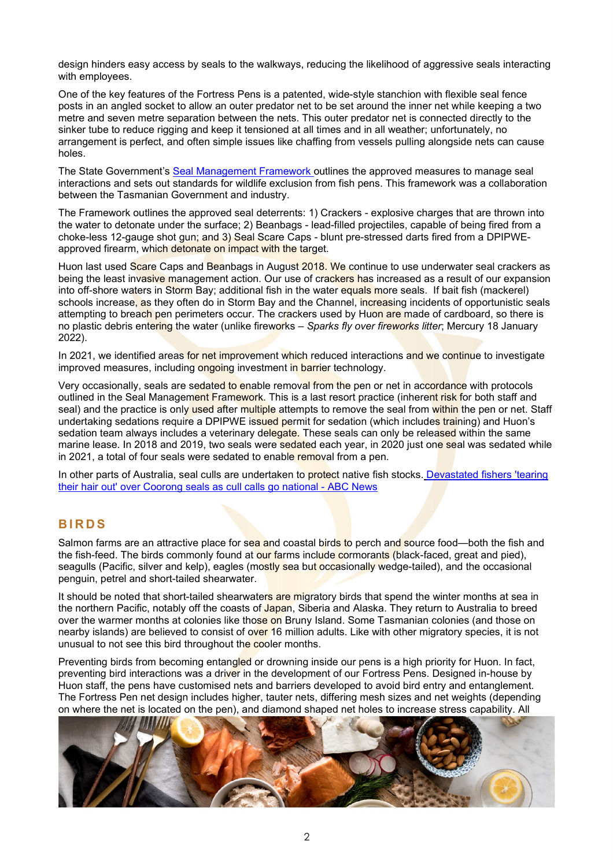design hinders easy access by seals to the walkways, reducing the likelihood of aggressive seals interacting with employees.

One of the key features of the Fortress Pens is a patented, wide-style stanchion with flexible seal fence posts in an angled socket to allow an outer predator net to be set around the inner net while keeping a two metre and seven metre separation between the nets. This outer predator net is connected directly to the sinker tube to reduce rigging and keep it tensioned at all times and in all weather; unfortunately, no arrangement is perfect, and often simple issues like chaffing from vessels pulling alongside nets can cause holes.

The State Government's [Seal Management Framework o](https://dpipwe.tas.gov.au/Documents/Seal%20Management%20Framework.pdf)utlines the approved measures to manage seal interactions and sets out standards for wildlife exclusion from fish pens. This framework was a collaboration between the Tasmanian Government and industry.

The Framework outlines the approved seal deterrents: 1) Crackers - explosive charges that are thrown into the water to detonate under the surface; 2) Beanbags - lead-filled projectiles, capable of being fired from a choke-less 12-gauge shot gun; and 3) Seal Scare Caps - blunt pre-stressed darts fired from a DPIPWEapproved firearm, which detonate on impact with the target.

Huon last used Scare Caps and Beanbags in August 2018. We continue to use underwater seal crackers as being the least invasive management action. Our use of crackers has increased as a result of our expansion into off-shore waters in Storm Bay; additional fish in the water equals more seals. If bait fish (mackerel) schools increase, as they often do in Storm Bay and the Channel, increasing incidents of opportunistic seals attempting to breach pen perimeters occur. The crackers used by Huon are made of cardboard, so there is no plastic debris entering the water (unlike fireworks – *Sparks fly over fireworks litter*; Mercury 18 January 2022).

In 2021, we identified areas for net improvement which reduced interactions and we continue to investigate improved measures, including ongoing investment in barrier technology.

Very occasionally, seals are sedated to enable removal from the pen or net in accordance with protocols outlined in the Seal Management Framework. This is a last resort practice (inherent risk for both staff and seal) and the practice is only used after multiple attempts to remove the seal from within the pen or net. Staff undertaking sedations require a DPIPWE issued permit for sedation (which includes training) and Huon's sedation team always includes a veterinary delegate. These seals can only be released within the same marine lease. In 2018 and 2019, two seals were sedated each year, in 2020 just one seal was sedated while in 2021, a total of four seals were sedated to enable removal from a pen.

In other parts of Australia, seal culls are undertaken to **protect** native fish stocks. Devastated fishers 'tearing [their hair out' over Coorong seals as cull calls go national - ABC](https://www.abc.net.au/news/2021-10-27/calls-for-seal-cull-in-south-australias-coorong-region/100569348) News

### **BIRDS**

Salmon farms are an attractive place for sea and coastal birds to perch and source food—both the fish and the fish-feed. The birds commonly found at our farms include cormorants (black-faced, great and pied), seagulls (Pacific, silver and kelp), eagles (mostly sea but occasionally wedge-tailed), and the occasional penguin, petrel and short-tailed shearwater.

It should be noted that short-tailed shearwaters are migratory birds that spend the winter months at sea in the northern Pacific, notably off the coasts of Japan, Siberia and Alaska. They return to Australia to breed over the warmer months at colonies like those on Bruny Island. Some Tasmanian colonies (and those on nearby islands) are believed to consist of over 16 million adults. Like with other migratory species, it is not unusual to not see this bird throughout the cooler months.

Preventing birds from becoming entangled or drowning inside our pens is a high priority for Huon. In fact, preventing bird interactions was a driver in the development of our Fortress Pens. Designed in-house by Huon staff, the pens have customised nets and barriers developed to avoid bird entry and entanglement. The Fortress Pen net design includes higher, tauter nets, differing mesh sizes and net weights (depending on where the net is located on the pen), and diamond shaped net holes to increase stress capability. All